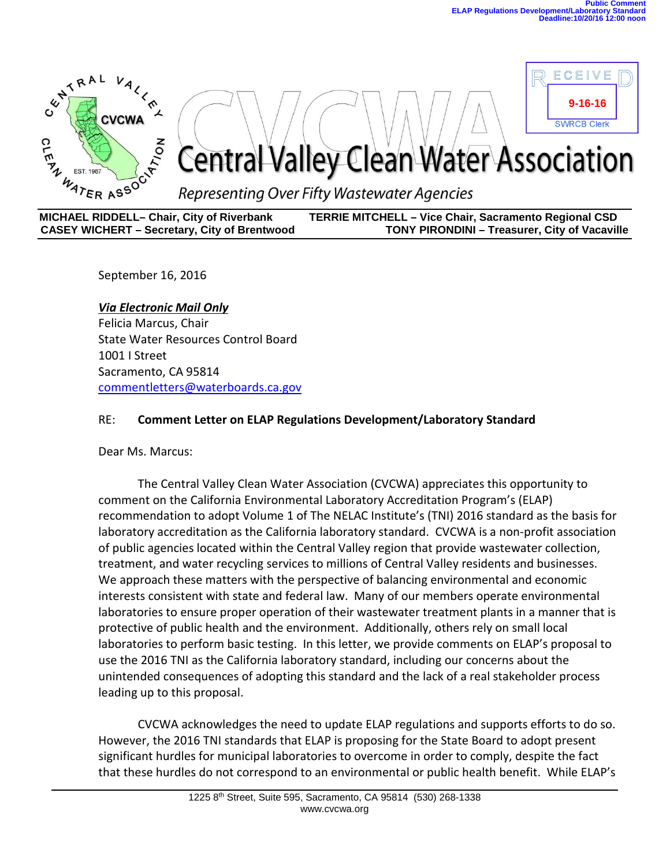

**MICHAEL RIDDELL– Chair, City of Riverbank TERRIE MITCHELL – Vice Chair, Sacramento Regional CSD CASEY WICHERT – Secretary, City of Brentwood** 

September 16, 2016

*Via Electronic Mail Only* Felicia Marcus, Chair State Water Resources Control Board 1001 I Street Sacramento, CA 95814 [commentletters@waterboards.ca.gov](mailto:commentletters@waterboards.ca.gov)

#### RE: **Comment Letter on ELAP Regulations Development/Laboratory Standard**

Dear Ms. Marcus:

The Central Valley Clean Water Association (CVCWA) appreciates this opportunity to comment on the California Environmental Laboratory Accreditation Program's (ELAP) recommendation to adopt Volume 1 of The NELAC Institute's (TNI) 2016 standard as the basis for laboratory accreditation as the California laboratory standard. CVCWA is a non-profit association of public agencies located within the Central Valley region that provide wastewater collection, treatment, and water recycling services to millions of Central Valley residents and businesses. We approach these matters with the perspective of balancing environmental and economic interests consistent with state and federal law. Many of our members operate environmental laboratories to ensure proper operation of their wastewater treatment plants in a manner that is protective of public health and the environment. Additionally, others rely on small local laboratories to perform basic testing. In this letter, we provide comments on ELAP's proposal to use the 2016 TNI as the California laboratory standard, including our concerns about the unintended consequences of adopting this standard and the lack of a real stakeholder process leading up to this proposal.

CVCWA acknowledges the need to update ELAP regulations and supports efforts to do so. However, the 2016 TNI standards that ELAP is proposing for the State Board to adopt present significant hurdles for municipal laboratories to overcome in order to comply, despite the fact that these hurdles do not correspond to an environmental or public health benefit. While ELAP's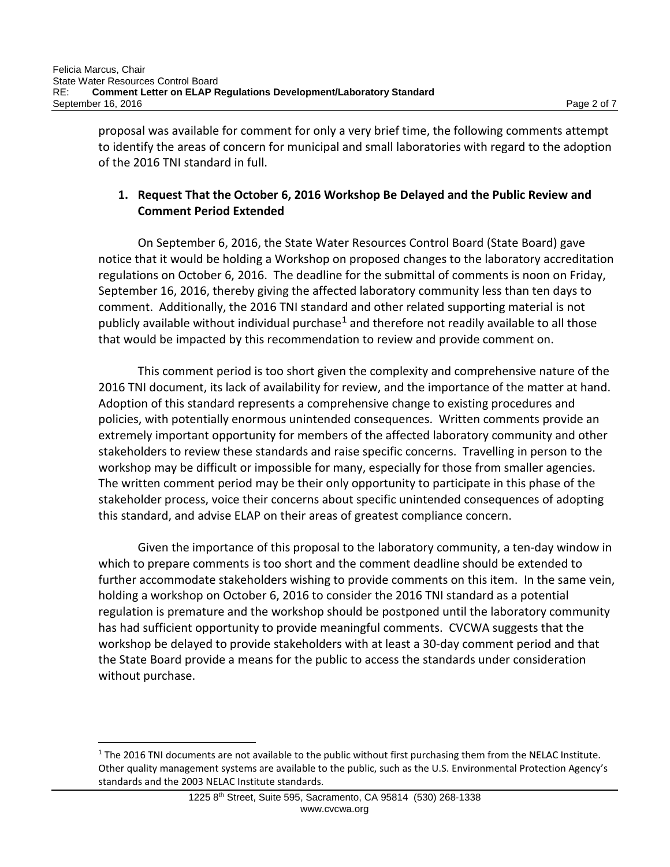proposal was available for comment for only a very brief time, the following comments attempt to identify the areas of concern for municipal and small laboratories with regard to the adoption of the 2016 TNI standard in full.

## **1. Request That the October 6, 2016 Workshop Be Delayed and the Public Review and Comment Period Extended**

On September 6, 2016, the State Water Resources Control Board (State Board) gave notice that it would be holding a Workshop on proposed changes to the laboratory accreditation regulations on October 6, 2016. The deadline for the submittal of comments is noon on Friday, September 16, 2016, thereby giving the affected laboratory community less than ten days to comment. Additionally, the 2016 TNI standard and other related supporting material is not publicly available without individual purchase<sup>[1](#page-1-0)</sup> and therefore not readily available to all those that would be impacted by this recommendation to review and provide comment on.

This comment period is too short given the complexity and comprehensive nature of the 2016 TNI document, its lack of availability for review, and the importance of the matter at hand. Adoption of this standard represents a comprehensive change to existing procedures and policies, with potentially enormous unintended consequences. Written comments provide an extremely important opportunity for members of the affected laboratory community and other stakeholders to review these standards and raise specific concerns. Travelling in person to the workshop may be difficult or impossible for many, especially for those from smaller agencies. The written comment period may be their only opportunity to participate in this phase of the stakeholder process, voice their concerns about specific unintended consequences of adopting this standard, and advise ELAP on their areas of greatest compliance concern.

Given the importance of this proposal to the laboratory community, a ten-day window in which to prepare comments is too short and the comment deadline should be extended to further accommodate stakeholders wishing to provide comments on this item. In the same vein, holding a workshop on October 6, 2016 to consider the 2016 TNI standard as a potential regulation is premature and the workshop should be postponed until the laboratory community has had sufficient opportunity to provide meaningful comments. CVCWA suggests that the workshop be delayed to provide stakeholders with at least a 30-day comment period and that the State Board provide a means for the public to access the standards under consideration without purchase.

 $\overline{a}$ 

<span id="page-1-0"></span> $1$  The 2016 TNI documents are not available to the public without first purchasing them from the NELAC Institute. Other quality management systems are available to the public, such as the U.S. Environmental Protection Agency's standards and the 2003 NELAC Institute standards.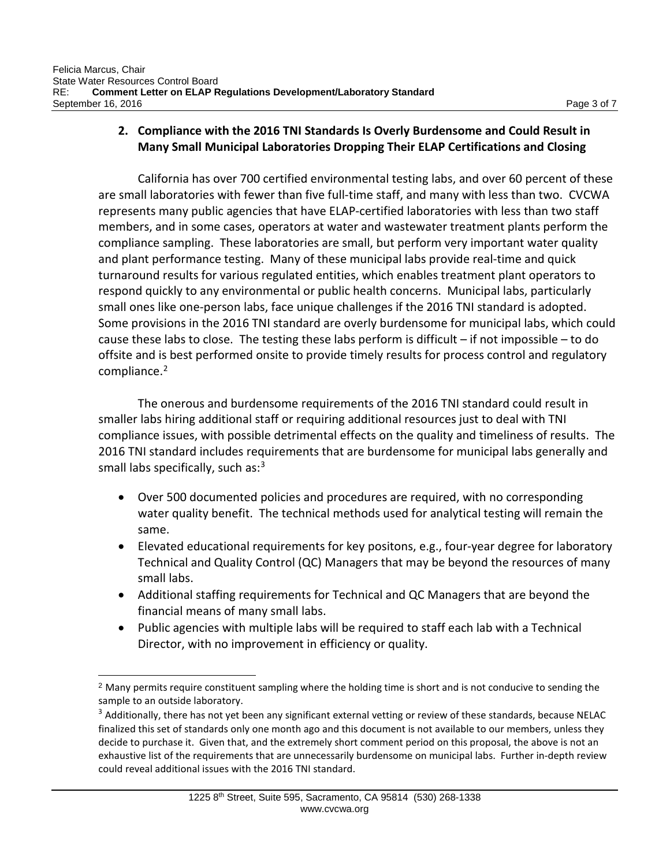## **2. Compliance with the 2016 TNI Standards Is Overly Burdensome and Could Result in Many Small Municipal Laboratories Dropping Their ELAP Certifications and Closing**

California has over 700 certified environmental testing labs, and over 60 percent of these are small laboratories with fewer than five full-time staff, and many with less than two. CVCWA represents many public agencies that have ELAP-certified laboratories with less than two staff members, and in some cases, operators at water and wastewater treatment plants perform the compliance sampling. These laboratories are small, but perform very important water quality and plant performance testing. Many of these municipal labs provide real-time and quick turnaround results for various regulated entities, which enables treatment plant operators to respond quickly to any environmental or public health concerns. Municipal labs, particularly small ones like one-person labs, face unique challenges if the 2016 TNI standard is adopted. Some provisions in the 2016 TNI standard are overly burdensome for municipal labs, which could cause these labs to close. The testing these labs perform is difficult  $-$  if not impossible  $-$  to do offsite and is best performed onsite to provide timely results for process control and regulatory compliance.<sup>2</sup>

The onerous and burdensome requirements of the 2016 TNI standard could result in smaller labs hiring additional staff or requiring additional resources just to deal with TNI compliance issues, with possible detrimental effects on the quality and timeliness of results. The 2016 TNI standard includes requirements that are burdensome for municipal labs generally and small labs specifically, such as:<sup>[3](#page-2-1)</sup>

- Over 500 documented policies and procedures are required, with no corresponding water quality benefit. The technical methods used for analytical testing will remain the same.
- Elevated educational requirements for key positons, e.g., four-year degree for laboratory Technical and Quality Control (QC) Managers that may be beyond the resources of many small labs.
- Additional staffing requirements for Technical and QC Managers that are beyond the financial means of many small labs.
- Public agencies with multiple labs will be required to staff each lab with a Technical Director, with no improvement in efficiency or quality.

<span id="page-2-0"></span><sup>&</sup>lt;sup>2</sup> Many permits require constituent sampling where the holding time is short and is not conducive to sending the sample to an outside laboratory.

<span id="page-2-1"></span> $3$  Additionally, there has not yet been any significant external vetting or review of these standards, because NELAC finalized this set of standards only one month ago and this document is not available to our members, unless they decide to purchase it. Given that, and the extremely short comment period on this proposal, the above is not an exhaustive list of the requirements that are unnecessarily burdensome on municipal labs. Further in-depth review could reveal additional issues with the 2016 TNI standard.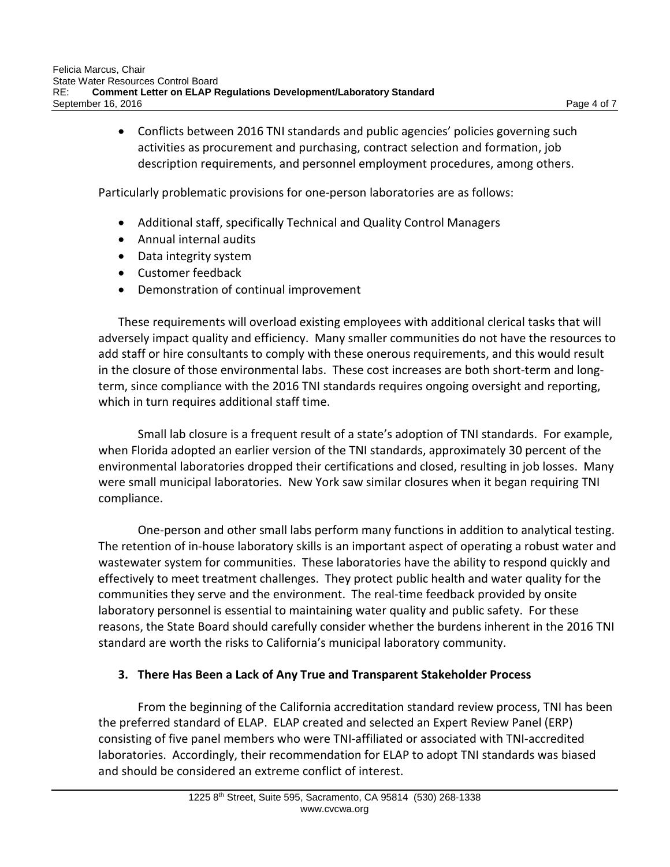• Conflicts between 2016 TNI standards and public agencies' policies governing such activities as procurement and purchasing, contract selection and formation, job description requirements, and personnel employment procedures, among others.

Particularly problematic provisions for one-person laboratories are as follows:

- Additional staff, specifically Technical and Quality Control Managers
- Annual internal audits
- Data integrity system
- Customer feedback
- Demonstration of continual improvement

These requirements will overload existing employees with additional clerical tasks that will adversely impact quality and efficiency. Many smaller communities do not have the resources to add staff or hire consultants to comply with these onerous requirements, and this would result in the closure of those environmental labs. These cost increases are both short-term and longterm, since compliance with the 2016 TNI standards requires ongoing oversight and reporting, which in turn requires additional staff time.

Small lab closure is a frequent result of a state's adoption of TNI standards. For example, when Florida adopted an earlier version of the TNI standards, approximately 30 percent of the environmental laboratories dropped their certifications and closed, resulting in job losses. Many were small municipal laboratories. New York saw similar closures when it began requiring TNI compliance.

One-person and other small labs perform many functions in addition to analytical testing. The retention of in-house laboratory skills is an important aspect of operating a robust water and wastewater system for communities. These laboratories have the ability to respond quickly and effectively to meet treatment challenges. They protect public health and water quality for the communities they serve and the environment. The real-time feedback provided by onsite laboratory personnel is essential to maintaining water quality and public safety. For these reasons, the State Board should carefully consider whether the burdens inherent in the 2016 TNI standard are worth the risks to California's municipal laboratory community.

#### **3. There Has Been a Lack of Any True and Transparent Stakeholder Process**

From the beginning of the California accreditation standard review process, TNI has been the preferred standard of ELAP. ELAP created and selected an Expert Review Panel (ERP) consisting of five panel members who were TNI-affiliated or associated with TNI-accredited laboratories. Accordingly, their recommendation for ELAP to adopt TNI standards was biased and should be considered an extreme conflict of interest.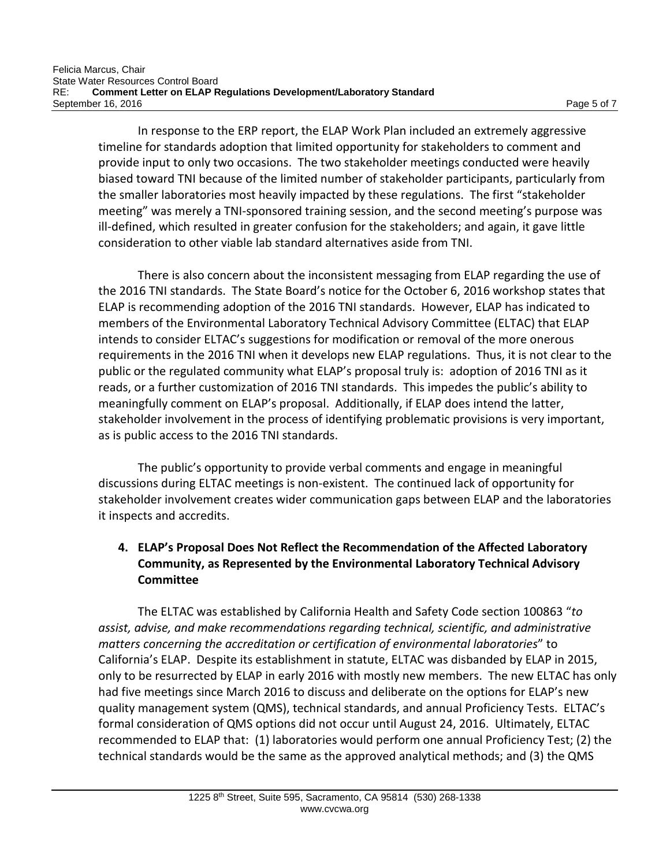In response to the ERP report, the ELAP Work Plan included an extremely aggressive timeline for standards adoption that limited opportunity for stakeholders to comment and provide input to only two occasions. The two stakeholder meetings conducted were heavily biased toward TNI because of the limited number of stakeholder participants, particularly from the smaller laboratories most heavily impacted by these regulations. The first "stakeholder meeting" was merely a TNI-sponsored training session, and the second meeting's purpose was ill-defined, which resulted in greater confusion for the stakeholders; and again, it gave little consideration to other viable lab standard alternatives aside from TNI.

There is also concern about the inconsistent messaging from ELAP regarding the use of the 2016 TNI standards. The State Board's notice for the October 6, 2016 workshop states that ELAP is recommending adoption of the 2016 TNI standards. However, ELAP has indicated to members of the Environmental Laboratory Technical Advisory Committee (ELTAC) that ELAP intends to consider ELTAC's suggestions for modification or removal of the more onerous requirements in the 2016 TNI when it develops new ELAP regulations. Thus, it is not clear to the public or the regulated community what ELAP's proposal truly is: adoption of 2016 TNI as it reads, or a further customization of 2016 TNI standards. This impedes the public's ability to meaningfully comment on ELAP's proposal. Additionally, if ELAP does intend the latter, stakeholder involvement in the process of identifying problematic provisions is very important, as is public access to the 2016 TNI standards.

The public's opportunity to provide verbal comments and engage in meaningful discussions during ELTAC meetings is non-existent. The continued lack of opportunity for stakeholder involvement creates wider communication gaps between ELAP and the laboratories it inspects and accredits.

# **4. ELAP's Proposal Does Not Reflect the Recommendation of the Affected Laboratory Community, as Represented by the Environmental Laboratory Technical Advisory Committee**

The ELTAC was established by California Health and Safety Code section 100863 "*to assist, advise, and make recommendations regarding technical, scientific, and administrative matters concerning the accreditation or certification of environmental laboratories*" to California's ELAP. Despite its establishment in statute, ELTAC was disbanded by ELAP in 2015, only to be resurrected by ELAP in early 2016 with mostly new members. The new ELTAC has only had five meetings since March 2016 to discuss and deliberate on the options for ELAP's new quality management system (QMS), technical standards, and annual Proficiency Tests. ELTAC's formal consideration of QMS options did not occur until August 24, 2016. Ultimately, ELTAC recommended to ELAP that: (1) laboratories would perform one annual Proficiency Test; (2) the technical standards would be the same as the approved analytical methods; and (3) the QMS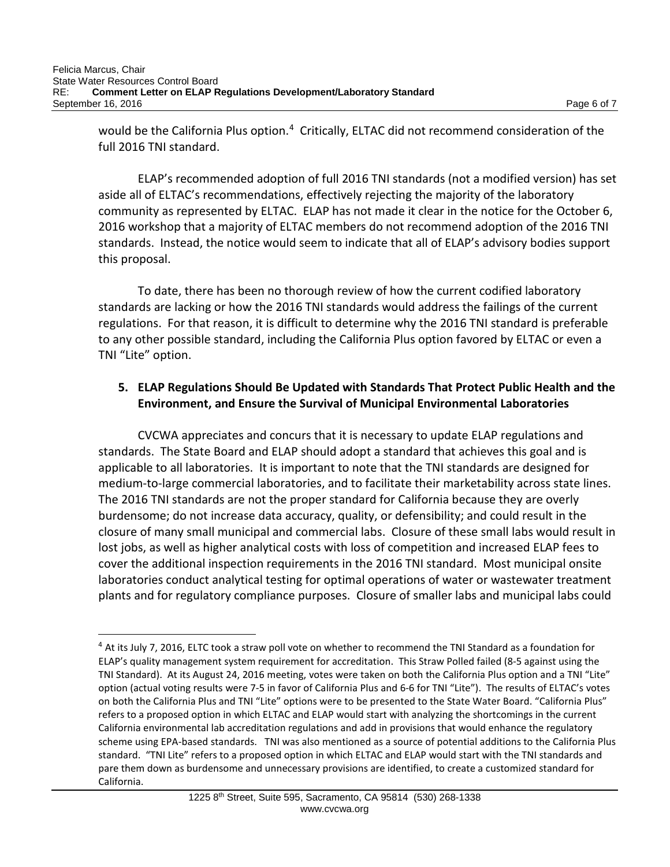$\overline{a}$ 

would be the California Plus option.<sup>4</sup> Critically, ELTAC did not recommend consideration of the full 2016 TNI standard.

ELAP's recommended adoption of full 2016 TNI standards (not a modified version) has set aside all of ELTAC's recommendations, effectively rejecting the majority of the laboratory community as represented by ELTAC. ELAP has not made it clear in the notice for the October 6, 2016 workshop that a majority of ELTAC members do not recommend adoption of the 2016 TNI standards. Instead, the notice would seem to indicate that all of ELAP's advisory bodies support this proposal.

To date, there has been no thorough review of how the current codified laboratory standards are lacking or how the 2016 TNI standards would address the failings of the current regulations. For that reason, it is difficult to determine why the 2016 TNI standard is preferable to any other possible standard, including the California Plus option favored by ELTAC or even a TNI "Lite" option.

## **5. ELAP Regulations Should Be Updated with Standards That Protect Public Health and the Environment, and Ensure the Survival of Municipal Environmental Laboratories**

CVCWA appreciates and concurs that it is necessary to update ELAP regulations and standards. The State Board and ELAP should adopt a standard that achieves this goal and is applicable to all laboratories. It is important to note that the TNI standards are designed for medium-to-large commercial laboratories, and to facilitate their marketability across state lines. The 2016 TNI standards are not the proper standard for California because they are overly burdensome; do not increase data accuracy, quality, or defensibility; and could result in the closure of many small municipal and commercial labs. Closure of these small labs would result in lost jobs, as well as higher analytical costs with loss of competition and increased ELAP fees to cover the additional inspection requirements in the 2016 TNI standard. Most municipal onsite laboratories conduct analytical testing for optimal operations of water or wastewater treatment plants and for regulatory compliance purposes. Closure of smaller labs and municipal labs could

<span id="page-5-0"></span> $4$  At its July 7, 2016, ELTC took a straw poll vote on whether to recommend the TNI Standard as a foundation for ELAP's quality management system requirement for accreditation. This Straw Polled failed (8-5 against using the TNI Standard). At its August 24, 2016 meeting, votes were taken on both the California Plus option and a TNI "Lite" option (actual voting results were 7-5 in favor of California Plus and 6-6 for TNI "Lite"). The results of ELTAC's votes on both the California Plus and TNI "Lite" options were to be presented to the State Water Board. "California Plus" refers to a proposed option in which ELTAC and ELAP would start with analyzing the shortcomings in the current California environmental lab accreditation regulations and add in provisions that would enhance the regulatory scheme using EPA-based standards. TNI was also mentioned as a source of potential additions to the California Plus standard. "TNI Lite" refers to a proposed option in which ELTAC and ELAP would start with the TNI standards and pare them down as burdensome and unnecessary provisions are identified, to create a customized standard for California.